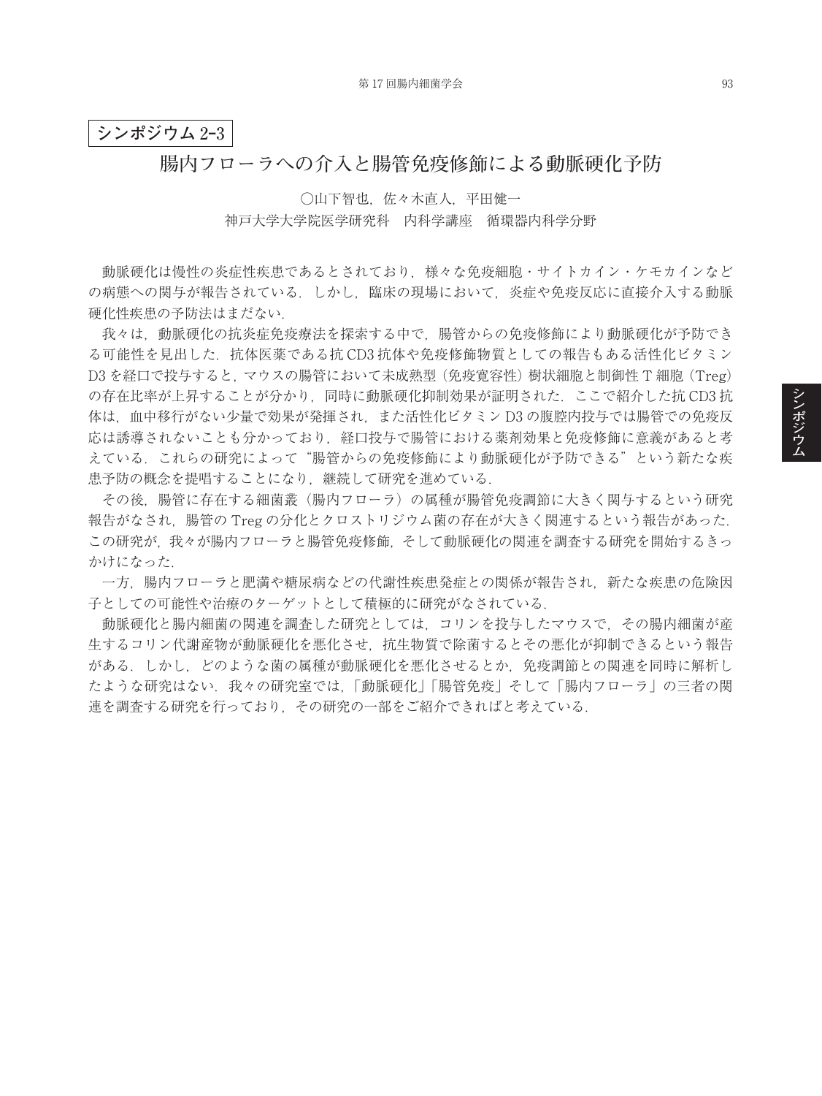## **シンポジウム** 2**‒**3

## **腸内フローラへの介入と腸管免疫修飾による動脈硬化予防**

○山下智也,佐々木直人,平田健一 神戸大学大学院医学研究科 内科学講座 循環器内科学分野

動脈硬化は慢性の炎症性疾患であるとされており,様々な免疫細胞・サイトカイン・ケモカインなど の病態への関与が報告されている.しかし,臨床の現場において,炎症や免疫反応に直接介入する動脈 硬化性疾患の予防法はまだない.

我々は,動脈硬化の抗炎症免疫療法を探索する中で,腸管からの免疫修飾により動脈硬化が予防でき る可能性を見出した.抗体医薬である抗 CD3 抗体や免疫修飾物質としての報告もある活性化ビタミン D3 を経口で投与すると、マウスの腸管において未成熟型(免疫寛容性)樹状細胞と制御性 T 細胞(Treg) の存在比率が上昇することが分かり,同時に動脈硬化抑制効果が証明された.ここで紹介した抗 CD3 抗 体は、血中移行がない少量で効果が発揮され、また活性化ビタミン D3 の腹腔内投与では腸管での免疫反 応は誘導されないことも分かっており,経口投与で腸管における薬剤効果と免疫修飾に意義があると考 えている.これらの研究によって"腸管からの免疫修飾により動脈硬化が予防できる"という新たな疾 患予防の概念を提唱することになり, 継続して研究を進めている.

その後,腸管に存在する細菌叢(腸内フローラ)の属種が腸管免疫調節に大きく関与するという研究 報告がなされ,腸管の Treg の分化とクロストリジウム菌の存在が大きく関連するという報告があった. この研究が,我々が腸内フローラと腸管免疫修飾,そして動脈硬化の関連を調査する研究を開始するきっ かけになった.

一方,腸内フローラと肥満や糖尿病などの代謝性疾患発症との関係が報告され,新たな疾患の危険因 子としての可能性や治療のターゲットとして積極的に研究がなされている.

動脈硬化と腸内細菌の関連を調査した研究としては,コリンを投与したマウスで,その腸内細菌が産 生するコリン代謝産物が動脈硬化を悪化させ,抗生物質で除菌するとその悪化が抑制できるという報告 がある.しかし,どのような菌の属種が動脈硬化を悪化させるとか,免疫調節との関連を同時に解析し たような研究はない.我々の研究室では,「動脈硬化」「腸管免疫」そして「腸内フローラ」の三者の関 連を調査する研究を行っており,その研究の一部をご紹介できればと考えている.